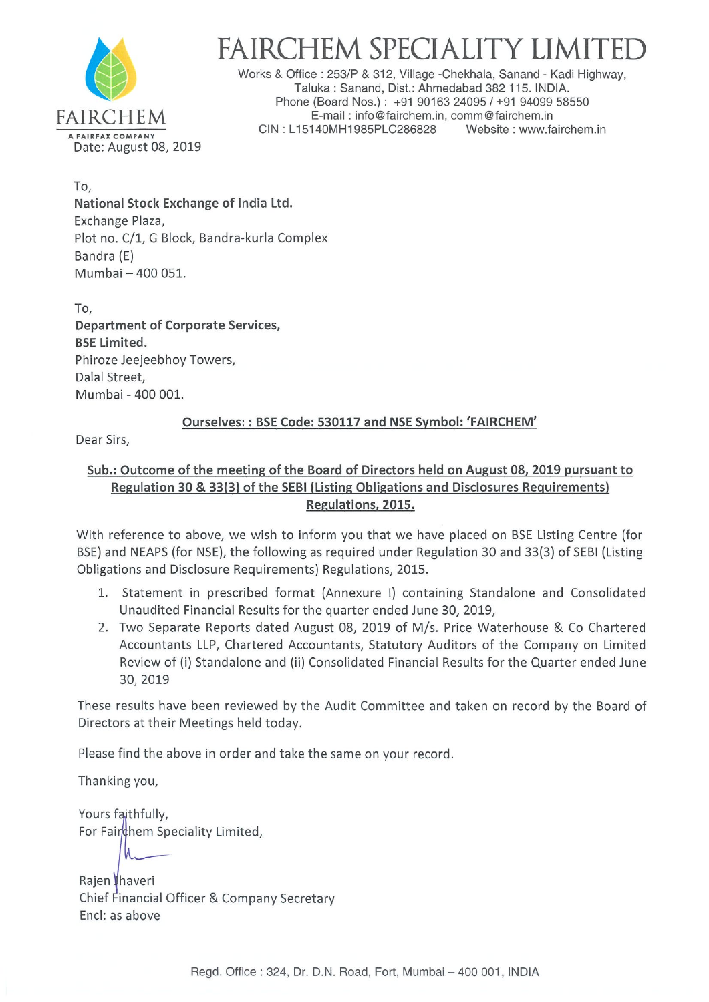

# FAIRCHEM SPECIALITY LIMITED<br>Works & Office : 253/P & 312, Village -Chekhala, Sanand - Kadi Highway,

Taluka: Sanand, Dist.: Ahmedabad 382 115. INDIA. Phone (Board Nos.) : +91 90163 24095 / +91 94099 58550 FAIRCHEM E-mail: info@fairchem.in, comm@fairchem.in<br>CIN: L15140MH1985PLC286828 Website: www.fairchem.in A FAIREAX COMPANY CIN : L15140MH1985PLC286828

To, National Stock Exchange of India Ltd. Exchange Plaza, Plot no. C/1, G Block, Bandra-kurla Complex Bandra (E) Mumbai  $-400051$ .

To, Department of Corporate Services, BSE Limited. Phiroze Jeejeebhoy Towers, Dalal Street, Mumbai - 400 001.

## Ourselves: : BSE Code: 530117 and NSE Symbol: 'FAIRCHEM'

Dear Sirs,

## Sub.: Outcome of the meeting of the Board of Directors held on August 08, 2019 pursuant to Regulation 30 & 33(3) of the SEBI (Listing Obligations and Disclosures Requirements) Regulations, 2015.

With reference to above, we wish to inform you that we have placed on BSE Listing Centre (for BSE) and NEAPS (for NSE), the following as required under Regulation 30 and 33(3) of SEBI (Listing Obligations and Disclosure Requirements) Regulations, 2015.

- 1. Statement in prescribed format (Annexure I) containing Standalone and Consolidated Unaudited Financial Results for the quarter ended June 30, 2019,
- 2. Two Separate Reports dated August 08, 2019 of M/s. Price Waterhouse & Co Chartered Accountants LLP, Chartered Accountants, Statutory Auditors of the Company on Limited Review of (i) Standalone and (ii) Consolidated Financial Results for the Quarter ended June 30, 2019

These results have been reviewed by the Audit Committee and taken on record by the Board of Directors at their Meetings held today.

Please find the above in order and take the same on your record.

Thanking you,

M

Yours faithfully, For Fairchem Speciality Limited,

Rajen Ihaveri Chief Financial Officer & Company Secretary End: as above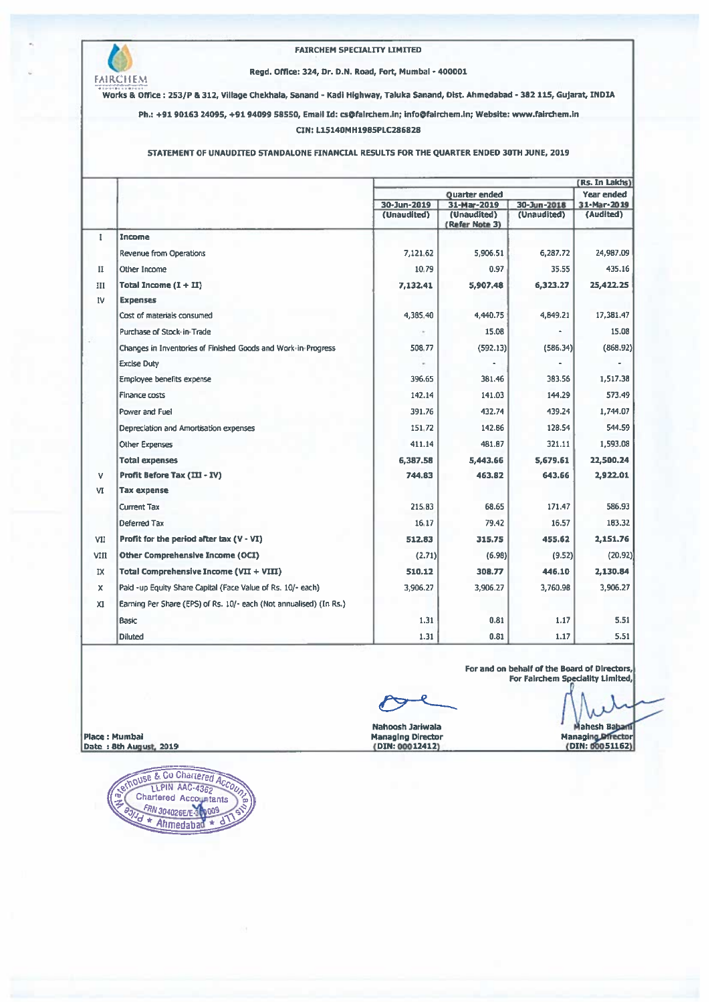

#### **FAIRCHEM SPECIALITY LIMITED**

## Regd. Office: 324, Dr. D.N. Road, Fort, Mumbal - 400001

Works & Office : 253/P & 312, Village Chekhala, Sanand - Kadi Highway, Taluka Sanand, Dist. Ahmedabad - 382 115, Gujarat, INDIA

Ph.: +91 90163 24095, +91 94099 58550, Email Id: cs@fairchem.in; info@fairchem.in; Website: www.fairchem.in

### CIN: L15140MH1985PLC286828

## STATEMENT OF UNAUDITED STANDALONE FINANCIAL RESULTS FOR THE QUARTER ENDED 30TH JUNE, 2019

|              |                                                                    |                      | (Rs. In Lakhs)                |             |                   |
|--------------|--------------------------------------------------------------------|----------------------|-------------------------------|-------------|-------------------|
|              |                                                                    | <b>Quarter ended</b> |                               |             | <b>Year ended</b> |
|              |                                                                    | 30-Jun-2019          | 31-Mar-2019                   | 30-Jun-2018 | 31-Mar-2019       |
|              |                                                                    | (Unaudited)          | (Unaudited)<br>(Refer Note 3) | (Unaudited) | (Audited)         |
| $\mathbf{I}$ | Income                                                             |                      |                               |             |                   |
|              | Revenue from Operations                                            | 7.121.62             | 5.906.51                      | 6.287.72    | 24,987,09         |
| $\mathbf{I}$ | Other Income                                                       | 10.79                | 0.97                          | 35.55       | 435.16            |
| Ш            | Total Income $(1 + II)$                                            | 7,132.41             | 5,907.48                      | 6,323.27    | 25,422.25         |
| <b>IV</b>    | <b>Expenses</b>                                                    |                      |                               |             |                   |
|              | Cost of materials consumed                                         | 4,385.40             | 4,440.75                      | 4,849.21    | 17,381.47         |
|              | Purchase of Stock-in-Trade                                         |                      | 15.08                         |             | 15.08             |
|              | Changes in Inventories of Finished Goods and Work-in-Progress      | 508.77               | (592.13)                      | (586.34)    | (868.92)          |
|              | <b>Excise Duty</b>                                                 |                      |                               |             |                   |
|              | Employee benefits expense                                          | 396.65               | 381.46                        | 383.56      | 1,517.38          |
|              | Finance costs                                                      | 142.14               | 141.03                        | 144.29      | 573.49            |
|              | Power and Fuel                                                     | 391.76               | 432.74                        | 439.24      | 1,744.07          |
|              | Depreclation and Amortisation expenses                             | 151.72               | 142.B6                        | 128.54      | 544.59            |
|              | Other Expenses                                                     | 411.14               | 481.B7                        | 321.11      | 1,593.08          |
|              | <b>Total expenses</b>                                              | 6,387.58             | 5,443,66                      | 5.679.61    | 22,500.24         |
| v            | Profit Before Tax (III - IV)                                       | 744.83               | 463.82                        | 643.66      | 2,922.01          |
| VI           | <b>Tax expense</b>                                                 |                      |                               |             |                   |
|              | <b>Current Tax</b>                                                 | 215.83               | 68.65                         | 171.47      | 586.93            |
|              | Deferred Tax                                                       | 16.17                | 79.42                         | 16.57       | 183.32            |
| VII          | Profit for the period after tax (V - VI)                           | 512.83               | 315.75                        | 455.62      | 2,151.76          |
| VIII         | Other Comprehensive Income (OCI)                                   | (2.71)               | (6.98)                        | (9.52)      | (20.92)           |
| IX           | Total Comprehensive Income (VII + VIII)                            | 510.12               | 308.77                        | 446.10      | 2,130.84          |
| x            | Paid - up Equity Share Capital (Face Value of Rs. 10/- each)       | 3,906.27             | 3,906.27                      | 3,760.98    | 3,906.27          |
| x1           | Earning Per Share (EPS) of Rs. 10/- each (Not annualised) (In Rs.) |                      |                               |             |                   |
|              | Basic                                                              | 1.31                 | 0.81                          | 1.17        | 5.51              |
|              | <b>Diluted</b>                                                     | 1.31                 | 0.81                          | 1.17        | 5.51              |

For and on behalf of the Board of Directors, For Fairchem Speciality Limited,

Nahoosh Jariwala<br>Managing Director<br>(DIN: 00012412)

Mahesh Bahari Managing Director<br>(DIN: 00051162)

Place : Mumbai Date: 8th August, 2019

OUSE & CO Chartered Accou OUSE & COMMERCIA ACCEPTED ACCEPT FRN 304026E/E-30009 \* Ahmedabad \* d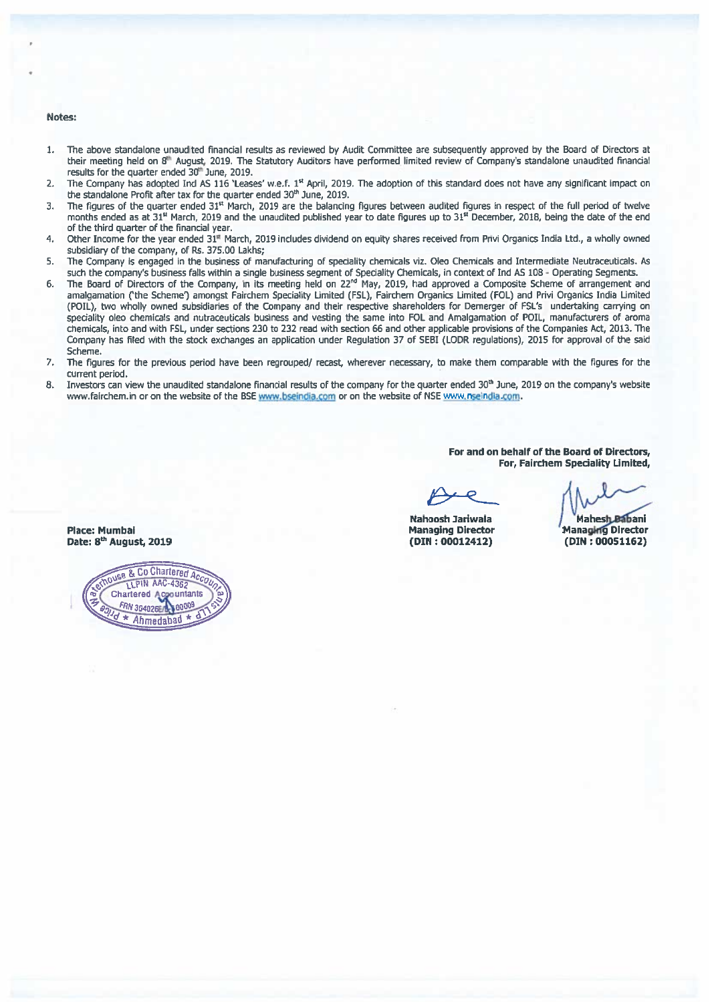#### Notes:

- The above standalone unaudited financial results as reviewed by Audit Committee are subsequently approved by the Board of Directors at  $1.$ their meeting held on 8<sup>th</sup> August, 2019. The Statutory Auditors have performed limited review of Company's standalone unaudited financial results for the quarter ended 30th June, 2019.
- The Company has adopted Ind AS 116 'Leases' w.e.f. 1<sup>st</sup> April, 2019. The adoption of this standard does not have any significant impact on  $\mathcal{D}$ the standalone Profit after tax for the quarter ended 30<sup>th</sup> June, 2019.
- The figures of the quarter ended 31<sup>st</sup> March, 2019 are the balancing figures between audited figures in respect of the full period of twelve 3. months ended as at 31<sup>4</sup> March, 2019 and the unaudited published year to date figures up to 31<sup>x</sup> December, 2018, being the date of the end of the third quarter of the financial year.
- Other Income for the year ended 31<sup>n</sup> March, 2019 includes dividend on equity shares received from Privi Organics India Ltd., a wholly owned  $4.$ subsidiary of the company, of Rs. 375.00 Lakhs;
- The Company is engaged in the business of manufacturing of speciality chemicals viz. Oleo Chemicals and Intermediate Neutraceuticals. As 5. such the company's business falls within a single business segment of Speciality Chemicals, in context of Ind AS 108 - Operating Segments.<br>The Board of Directors of the Company, in its meeting held on 22<sup>nd</sup> May, 2019, had
- 6. amalgamation ('the Scheme') amongst Fairchem Speciality Limited (FSL), Fairchem Organics Limited (FOL) and Privi Organics India Limited (POIL), two wholly owned subsidiaries of the Company and their respective shareholders for Demerger of FSL's undertaking carrying on speciality oleo chemicals and nutraceuticals business and vesting the same into FOL and Amalgamation of POIL, manufacturers of aroma chemicals, into and with FSL, under sections 230 to 232 read with section 66 and other applicable provisions of the Companies Act, 2013. The Company has filed with the stock exchanges an application under Regulation 37 of SEBI (LODR regulations), 2015 for approval of the said Scheme.
- $\mathcal{L}$ The figures for the previous period have been regrouped/ recast, wherever necessary, to make them comparable with the figures for the current period.
- Investors can view the unaudited standalone financial results of the company for the quarter ended 30th June, 2019 on the company's website 8. www.fairchem.in or on the website of the BSE www.bseindia.com or on the website of NSE www.nseindia.com.

For and on behalf of the Board of Directors. For, Fairchem Speciality Limited,

**Nahoosh Jariwala Managing Director**  $(DIN: 00012412)$ 

**Mahesh Rahani Managing Director**  $(DIN: 00051162)$ 

**Place: Mumbai** Date: 8<sup>th</sup> August, 2019

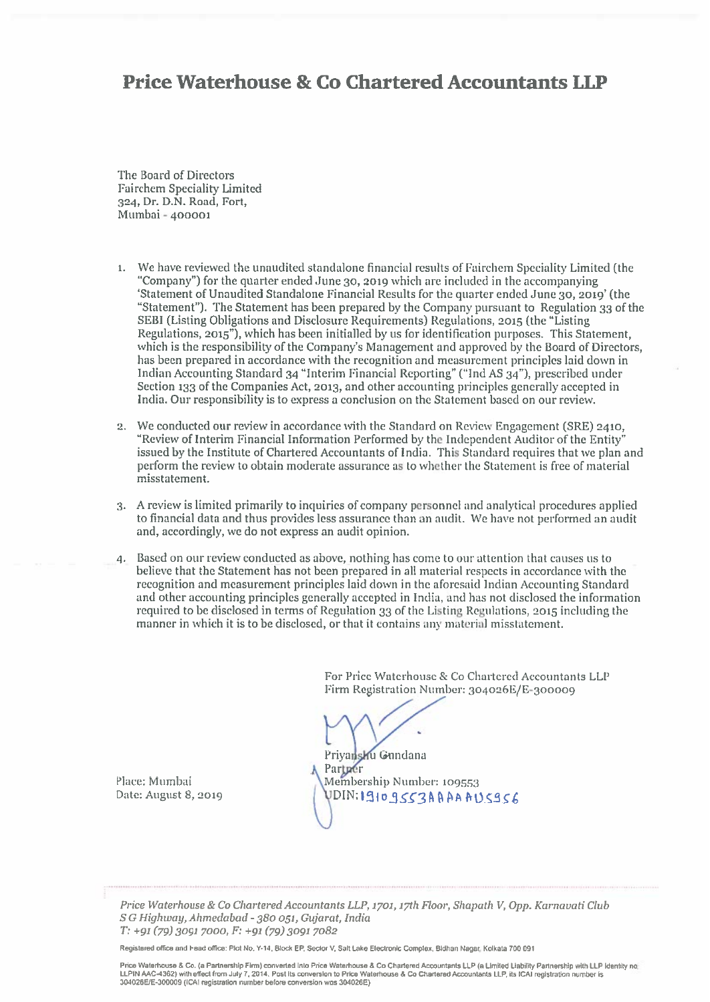## **Price Waterhouse & Co Chartered Accountants LLP**

The Board of Directors Fairchem Speciality Limited 324, Dr. D.N. Road, Fort, Mumbai - 400001

- 1. We have reviewed the unaudited standalone financial results of Fairchem Speciality Limited (the "Company") for the quarter ended June 30, 2019 which are included in the accompanying 'Statement of Unaudited Standalone Financial Results for the quarter ended June 30, 2019' (the "Statement"). The Statement has been prepared by the Company pursuant to Regulation 33 of the SEBI (Listing Obligations and Disclosure Requirements) Regulations, 2015 (the "Listing" Regulations, 2015"), which has been initialled by us for identification purposes. This Statement. which is the responsibility of the Company's Management and approved by the Board of Directors, has been prepared in accordance with the recognition and measurement principles laid down in Indian Accounting Standard 34 "Interim Financial Reporting" ("Ind AS 34"), prescribed under Section 133 of the Companies Act, 2013, and other accounting principles generally accepted in India. Our responsibility is to express a conclusion on the Statement based on our review.
- 2. We conducted our review in accordance with the Standard on Review Engagement (SRE) 2410, "Review of Interim Financial Information Performed by the Independent Auditor of the Entity' issued by the Institute of Chartered Accountants of India. This Standard requires that we plan and perform the review to obtain moderate assurance as to whether the Statement is free of material misstatement.
- 3. A review is limited primarily to inquiries of company personnel and analytical procedures applied to financial data and thus provides less assurance than an audit. We have not performed an audit and, accordingly, we do not express an audit opinion.
- 4. Based on our review conducted as above, nothing has come to our attention that causes us to believe that the Statement has not been prepared in all material respects in accordance with the recognition and measurement principles laid down in the aforesaid Indian Accounting Standard and other accounting principles generally accepted in India, and has not disclosed the information required to be disclosed in terms of Regulation 33 of the Listing Regulations, 2015 including the manner in which it is to be disclosed, or that it contains any material misstatement.

For Price Waterhouse & Co Chartered Accountants LLP Firm Registration Number: 304026E/E-300009

Privansku Gundana Partner Membership Number: 109553 VDIN:19109SS3AAAAAVS9S6

Place: Mumbai Date: August 8, 2019

Price Waterhouse & Co Chartered Accountants LLP, 1701, 17th Floor, Shapath V, Opp. Karnavati Club S G Highway, Ahmedabad - 380 051, Gujarat, India T: +91 (79) 3091 7000, F: +91 (79) 3091 7082

Registered office and Head office: Plot No. Y-14, Block EP, Sector V, Salt Lake Electronic Complex, Bidhan Nagar, Kolkata 700 091

Price Waterhouse & Co. (a Partnership Firm) converted Into Price Waterhouse & Co Chartered Accountants LLP (a Limited Liability Partnership with LLP identity no LLPIN AAC-4362) with effect from July 7, 2014. Post its conversion to Price Waterhouse & Co Chartered Accountants LLP, its ICAI registration number is<br>304026E/E-300009 (ICAI registration number before conversion was 304026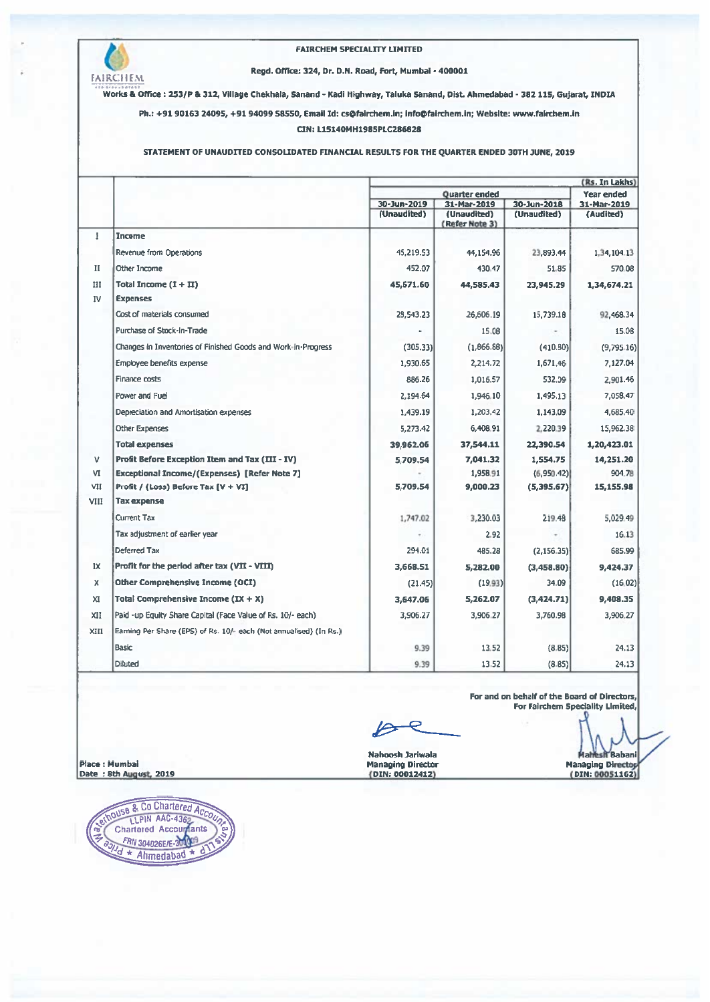

## FAIRCHEM SPECIALITY LIMITED

### Regd. Office: 324, Dr. D.N. Road, Fort, Mumbai - 400001

Works & Office: 253/P & 312, Village Chekhala, Sanand - Kadi Highway, Taluka Sanand, Dist. Ahmedabad - 382 115, Gujarat, INDIA

Ph.: +91 90163 24095, +91 94099 58550, Email Id: cs@fairchem.in; info@fairchem.in; Website: www.fairchem.in

## CIN: L15140MH1985PLC286828

## STATEMENT OF UNAUDITED CONSOLIDATED FINANCIAL RESULTS FOR THE QUARTER ENDED 30TH JUNE, 2019

|              |                                                                    | (Rs. In Lakhs)             |                               |             |             |  |
|--------------|--------------------------------------------------------------------|----------------------------|-------------------------------|-------------|-------------|--|
|              |                                                                    | <b>Quarter ended</b>       |                               |             | Year ended  |  |
|              |                                                                    | 30-Jun-2019<br>31-Mar-2019 |                               | 30-Jun-2018 | 31-Mar-2019 |  |
|              |                                                                    | (Unaudited)                | (Unaudited)<br>(Refer Note 3) | (Unaudited) | (Audited)   |  |
| 1            | <b>Income</b>                                                      |                            |                               |             |             |  |
|              | Revenue from Operations                                            | 45,219.53                  | 44,154.96                     | 23,893.44   | 1,34,104.13 |  |
| п            | Other Income                                                       | 452.07                     | 430.47                        | 51.85       | 570.08      |  |
| III          | Total Income $(1 + II)$                                            | 45,671.60                  | 44,585,43                     | 23,945.29   | 1,34,674.21 |  |
| IV           | <b>Expenses</b>                                                    |                            |                               |             |             |  |
|              | Cost of materials consumed                                         | 28,543.23                  | 26,606.19                     | 15,739.18   | 92,468.34   |  |
|              | Purchase of Stock-in-Trade                                         |                            | 15.08                         |             | 15.08       |  |
|              | Changes in Inventories of Finished Goods and Work-in-Progress      | (305.33)                   | (1.866.88)                    | (410.80)    | (9,795.16)  |  |
|              | Employee benefits expense                                          | 1,930.65                   | 2,214.72                      | 1,671.46    | 7,127.04    |  |
|              | Finance costs                                                      | 886.26                     | 1,016.57                      | 532.09      | 2,901.46    |  |
|              | Power and Fuel                                                     | 2,194.64                   | 1,946.10                      | 1,495.13    | 7,058.47    |  |
|              | Depreciation and Amortisation expenses                             | 1,439.19                   | 1,203.42                      | 1,143.09    | 4,685.40    |  |
|              | <b>Other Expenses</b>                                              | 5,273.42                   | 6,408.91                      | 2,220.39    | 15,962.38   |  |
|              | <b>Total expenses</b>                                              | 39,962.06                  | 37,544.11                     | 22.390.54   | 1,20,423.01 |  |
| v            | Profit Before Exception Item and Tax (III - IV)                    | 5.709.54                   | 7,041.32                      | 1,554.75    | 14,251.20   |  |
| ٧I           | <b>Exceptional Income/(Expenses) [Refer Note 7]</b>                |                            | 1,958.91                      | (6,950.42)  | 904.78      |  |
| VII          | Profit / (Loss) Before Tax [V + VI]                                | 5,709.54                   | 9,000.23                      | (5,395.67)  | 15,155.98   |  |
| VIII         | <b>Tax expense</b>                                                 |                            |                               |             |             |  |
|              | Current Tax                                                        | 1,747.02                   | 3,230.03                      | 219.48      | 5,029.49    |  |
|              | Tax adjustment of earlier year                                     |                            | 2.92                          |             | 16.13       |  |
|              | Deferred Tax                                                       | 294.01                     | 485.28                        | (2,156.35)  | 685.99      |  |
| IX           | Profit for the period after tax (VII - VIII)                       | 3,668.51                   | 5,282.00                      | (3.458.80)  | 9,424.37    |  |
| x            | <b>Other Comprehensive Income (OCI)</b>                            | (21.45)                    | (19.93)                       | 34.09       | (16.02)     |  |
| $\mathbf{x}$ | Total Comprehensive Income $(IX + X)$                              | 3,647.06                   | 5,262.07                      | (3,424.71)  | 9,408.35    |  |
| XII          | Paid -up Equity Share Capital (Face Value of Rs. 10/- each)        | 3,906.27                   | 3,906.27                      | 3,760.98    | 3,906.27    |  |
| XIII         | Earning Per Share (EPS) of Rs. 10/- each (Not annualised) (In Rs.) |                            |                               |             |             |  |
|              | <b>Basic</b>                                                       | 9.39                       | 13.52                         | (8.85)      | 24.13       |  |
|              | <b>Diluted</b>                                                     | 9.39                       | 13.52                         | (8.85)      | 24.13       |  |

For and on behalf of the Board of Directors, For Fairchem Speciality Limited,

Nahoosh Jariwala Managing Director<br>(DIN: 00012412)

**esh Babani** Managing Director

Place : Mumbai Date: 8th August, 2019

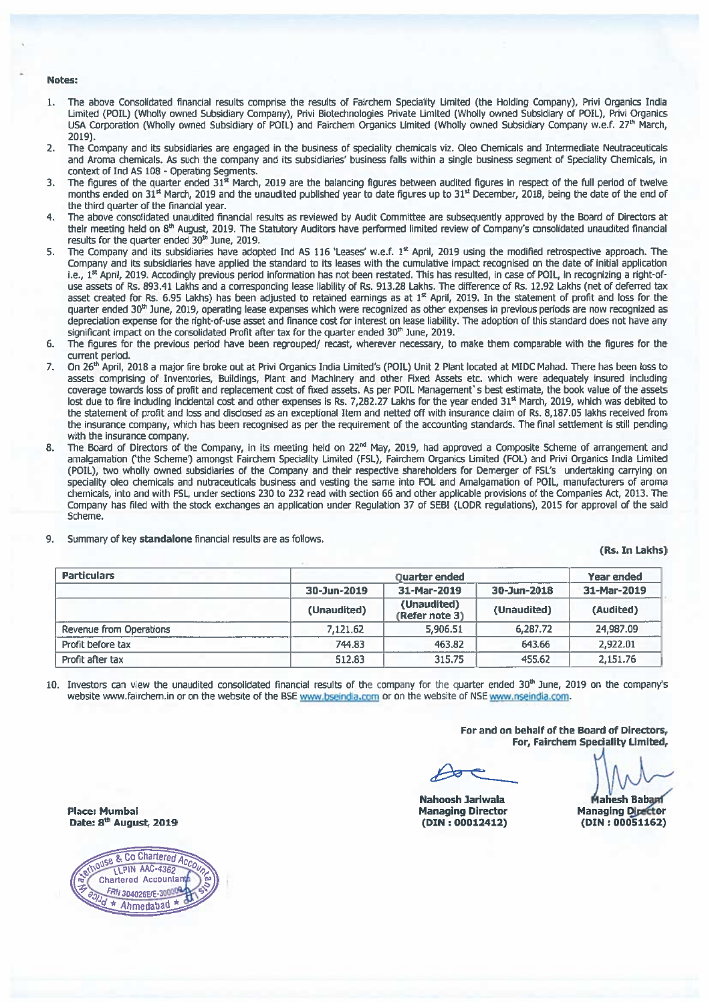## Notes:

- The above Consolidated financial results comprise the results of Fairchem Speciality Limited (the Holding Company), Privi Organics India 1. Limited (POIL) (Wholly owned Subsidiary Company), Privi Biotechnologies Private Limited (Wholly owned Subsidiary of POIL), Privi Organics USA Corporation (Wholly owned Subsidiary of POIL) and Fairchem Organics Limited (Wholly owned Subsidiary Company w.e.f. 27th March, 2019).
- The Company and its subsidiaries are engaged in the business of speciality chemicals viz. Oleo Chemicals and Intermediate Neutraceuticals  $\overline{2}$ . and Aroma chemicals. As such the company and its subsidiaries' business falls within a single business segment of Speciality Chemicals, in context of Ind AS 108 - Operating Segments.
- The figures of the quarter ended 31<sup>x</sup> March, 2019 are the balancing figures between audited figures in respect of the full period of twelve  $\mathcal{R}$ months ended on 31<sup>st</sup> March. 2019 and the unaudited published vear to date figures up to 31<sup>st</sup> December. 2018, being the date of the end of the third quarter of the financial year.
- The above consolidated unaudited financial results as reviewed by Audit Committee are subsequently approved by the Board of Directors at 4. their meeting held on 8<sup>th</sup> August, 2019. The Statutory Auditors have performed limited review of Company's consolidated unaudited financial results for the quarter ended 30th June, 2019.
- The Company and its subsidiaries have adopted Ind AS 116 'Leases' w.e.f. 1<sup>st</sup> April, 2019 using the modified retrospective approach. The 5. Company and its subsidiaries have applied the standard to its leases with the cumulative impact recognised on the date of initial application i.e., 1<sup>st</sup> April, 2019, Accodingly previous period information has not been restated. This has resulted, in case of POIL, in recognizing a right-ofuse assets of Rs. 893.41 Lakhs and a corresponding lease liability of Rs. 913.28 Lakhs. The difference of Rs. 12.92 Lakhs (net of deferred tax asset created for Rs. 6.95 Lakhs) has been adjusted to retained earnings as at 1<sup>st</sup> April, 2019. In the statement of profit and loss for the quarter ended 30th June, 2019, operating lease expenses which were recognized as other expenses in previous periods are now recognized as depreciation expense for the right-of-use asset and finance cost for interest on lease liability. The adoption of this standard does not have any significant impact on the consolidated Profit after tax for the quarter ended 30<sup>th</sup> June, 2019.
- The figures for the previous period have been regrouped/ recast, wherever necessary, to make them comparable with the figures for the 6. current period.
- $7.$ On 26<sup>th</sup> April, 2018 a major fire broke out at Privi Organics India Limited's (POIL) Unit 2 Plant located at MIDC Mahad. There has been loss to assets comprising of Inventories, Buildings, Plant and Machinery and other Fixed Assets etc. which were adequately insured including coverage towards loss of profit and replacement cost of fixed assets. As per POIL Management's best estimate, the book value of the assets lost due to fire including incidental cost and other expenses is Rs. 7,282.27 Lakhs for the year ended 31<sup>st</sup> March, 2019, which was debited to the statement of profit and loss and disclosed as an exceptional Item and netted off with insurance claim of Rs. 8,187.05 lakhs received from the insurance company, which has been recognised as per the requirement of the accounting standards. The final settlement is still pending with the insurance company.
- The Board of Directors of the Company, in its meeting held on 22<sup>nd</sup> May, 2019, had approved a Composite Scheme of arrangement and 8. amalgamation ('the Scheme') amongst Fairchem Speciality Limited (FSL), Fairchem Organics Limited (FOL) and Privi Organics India Limited (POIL), two wholly owned subsidiaries of the Company and their respective shareholders for Demerger of FSL's undertaking carrying on speciality oleo chemicals and nutraceuticals business and vesting the same into FOL and Amalgamation of POIL, manufacturers of aroma chemicals, into and with FSL, under sections 230 to 232 read with section 66 and other applicable provisions of the Companies Act, 2013. The Company has filed with the stock exchanges an application under Regulation 37 of SEBI (LODR regulations). 2015 for approval of the said Scheme.
- Summary of key standalone financial results are as follows. 9.

(Rs. In Lakhs)

| <b>Particulars</b>      |             | Year ended                    |             |             |
|-------------------------|-------------|-------------------------------|-------------|-------------|
|                         | 30-Jun-2019 | 31-Mar-2019                   | 30-Jun-2018 | 31-Mar-2019 |
|                         | (Unaudited) | (Unaudited)<br>(Refer note 3) | (Unaudited) | (Audited)   |
| Revenue from Operations | 7,121.62    | 5,906.51                      | 6,287.72    | 24,987.09   |
| Profit before tax       | 744.83      | 463.82                        | 643.66      | 2,922.01    |
| Profit after tax        | 512.83      | 315.75                        | 455.62      | 2,151.76    |

10. Investors can view the unaudited consolidated financial results of the company for the quarter ended 30<sup>th</sup> June, 2019 on the company's website www.fairchem.in or on the website of the BSE www.bseindia.com or on the website of NSE www.nseindia.com.

> For and on behalf of the Board of Directors, For, Fairchem Speciality Limited,

Nahoosh Jariwala **Managing Director**  $(DIN: 00012412)$ 

**Mahesh Bahard Managing Director** (DIN: 00051162)

**Place: Mumbai** Date: 8<sup>th</sup> August, 2019

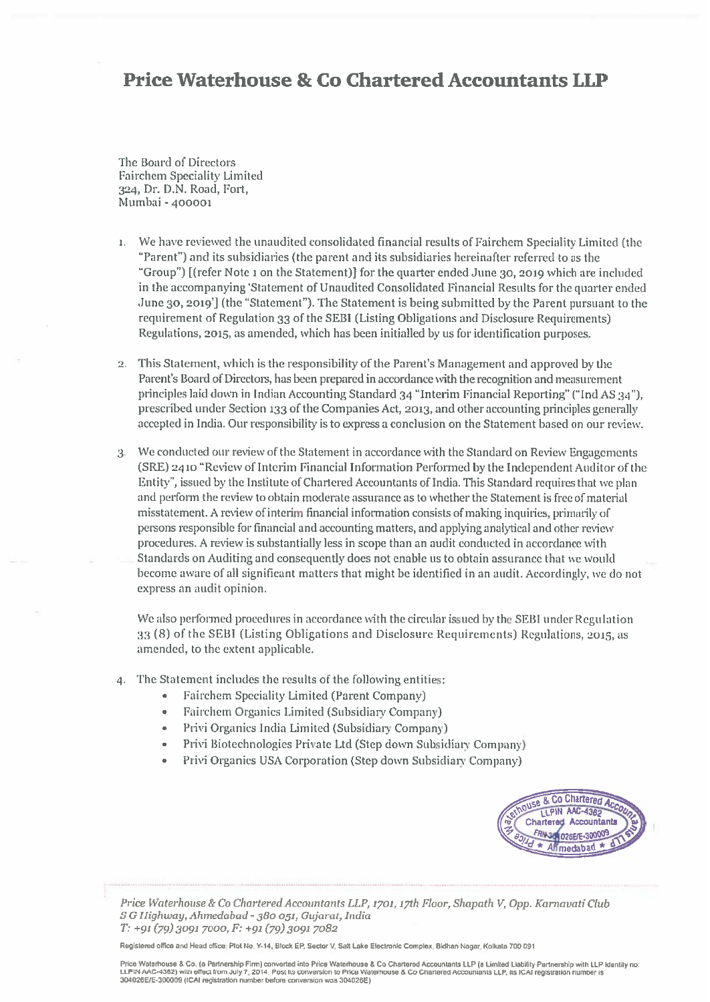# **Price Waterhouse & Co Chartered Accountants LLP**

The Board of Directors **Fairchem Speciality Limited** 324, Dr. D.N. Road, Fort, Mumbai - 400001

- We have reviewed the unaudited consolidated financial results of Fairchem Speciality Limited (the  $\mathbf{1}$ "Parent") and its subsidiaries (the parent and its subsidiaries hereinafter referred to as the "Group") [(refer Note 1 on the Statement)] for the quarter ended June 30, 2019 which are included in the accompanying 'Statement of Unaudited Consolidated Financial Results for the quarter ended June 30, 2019'] (the "Statement"). The Statement is being submitted by the Parent pursuant to the requirement of Regulation 33 of the SEBI (Listing Obligations and Disclosure Requirements) Regulations, 2015, as amended, which has been initialled by us for identification purposes.
- 2. This Statement, which is the responsibility of the Parent's Management and approved by the Parent's Board of Directors, has been prepared in accordance with the recognition and measurement principles laid down in Indian Accounting Standard 34 "Interim Financial Reporting" ("Ind AS 34"), prescribed under Section 133 of the Companies Act, 2013, and other accounting principles generally accepted in India. Our responsibility is to express a conclusion on the Statement based on our review.
- 3. We conducted our review of the Statement in accordance with the Standard on Review Engagements (SRE) 2410 "Review of Interim Financial Information Performed by the Independent Auditor of the Entity", issued by the Institute of Chartered Accountants of India. This Standard requires that we plan and perform the review to obtain moderate assurance as to whether the Statement is free of material misstatement. A review of interim financial information consists of making inquiries, primarily of persons responsible for financial and accounting matters, and applying analytical and other review procedures. A review is substantially less in scope than an audit conducted in accordance with Standards on Auditing and consequently does not enable us to obtain assurance that we would become aware of all significant matters that might be identified in an audit. Accordingly, we do not express an audit opinion.

We also performed procedures in accordance with the circular issued by the SEBI under Regulation 33 (8) of the SEBI (Listing Obligations and Disclosure Requirements) Regulations, 2015, as amended, to the extent applicable.

- 4. The Statement includes the results of the following entities:
	- Fairchem Speciality Limited (Parent Company)
	- Fairchem Organics Limited (Subsidiary Company)
	- Privi Organics India Limited (Subsidiary Company)
	- Privi Biotechnologies Private Ltd (Step down Subsidiary Company)
	- Privi Organics USA Corporation (Step down Subsidiary Company)



Price Waterhouse & Co Chartered Accountants LLP, 1701, 17th Floor, Shapath V, Opp. Karnavati Club S G Highway, Ahmedabad - 380 051, Gujarat, India T: +91 (79) 3091 7000, F: +91 (79) 3091 7082

Registered office and Head office: Plot No. Y-14, Block EP, Sector V, Salt Lake Electronic Complex, Bidhan Nagar, Kolkata 700 091

Price Waterhouse & Co. (a Partnershin Firm) converted into Price Waterhouse & Co Chartered Accountants LLP (a Limited Liability Partnership with LLP Identity no: The PROGRAM of the Contract of the Constantine intervention of the Waterhouse & Co Charlered Accountants LLP, its ICAI registration number is 304026E/E-300009 (ICAI registration number before conversion was 304026E)